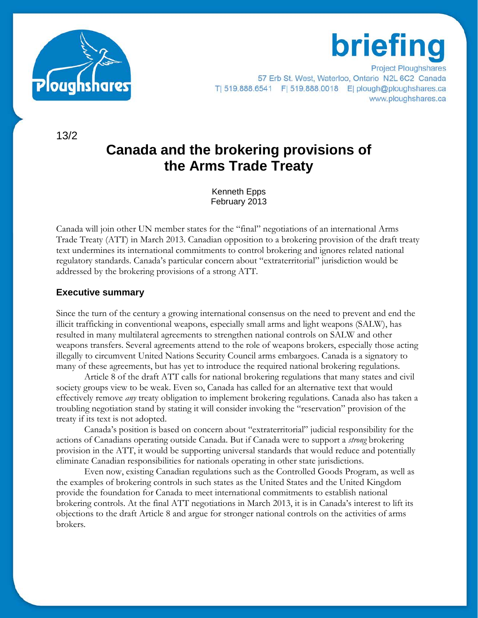

### **Project Ploughshares** 57 Erb St. West, Waterloo, Ontario N2L 6C2 Canada T| 519.888.6541 F| 519.888.0018 E| plough@ploughshares.ca www.ploughshares.ca

**briefing** 

13/2

# **Canada and the brokering provisions of the Arms Trade Treaty**

Kenneth Epps February 2013

Canada will join other UN member states for the "final" negotiations of an international Arms Trade Treaty (ATT) in March 2013. Canadian opposition to a brokering provision of the draft treaty text undermines its international commitments to control brokering and ignores related national regulatory standards. Canada's particular concern about "extraterritorial" jurisdiction would be addressed by the brokering provisions of a strong ATT.

## **Executive summary**

Since the turn of the century a growing international consensus on the need to prevent and end the illicit trafficking in conventional weapons, especially small arms and light weapons (SALW), has resulted in many multilateral agreements to strengthen national controls on SALW and other weapons transfers. Several agreements attend to the role of weapons brokers, especially those acting illegally to circumvent United Nations Security Council arms embargoes. Canada is a signatory to many of these agreements, but has yet to introduce the required national brokering regulations.

Article 8 of the draft ATT calls for national brokering regulations that many states and civil society groups view to be weak. Even so, Canada has called for an alternative text that would effectively remove *any* treaty obligation to implement brokering regulations. Canada also has taken a troubling negotiation stand by stating it will consider invoking the "reservation" provision of the treaty if its text is not adopted.

Canada's position is based on concern about "extraterritorial" judicial responsibility for the actions of Canadians operating outside Canada. But if Canada were to support a *strong* brokering provision in the ATT, it would be supporting universal standards that would reduce and potentially eliminate Canadian responsibilities for nationals operating in other state jurisdictions.

Even now, existing Canadian regulations such as the Controlled Goods Program, as well as the examples of brokering controls in such states as the United States and the United Kingdom provide the foundation for Canada to meet international commitments to establish national brokering controls. At the final ATT negotiations in March 2013, it is in Canada's interest to lift its objections to the draft Article 8 and argue for stronger national controls on the activities of arms brokers.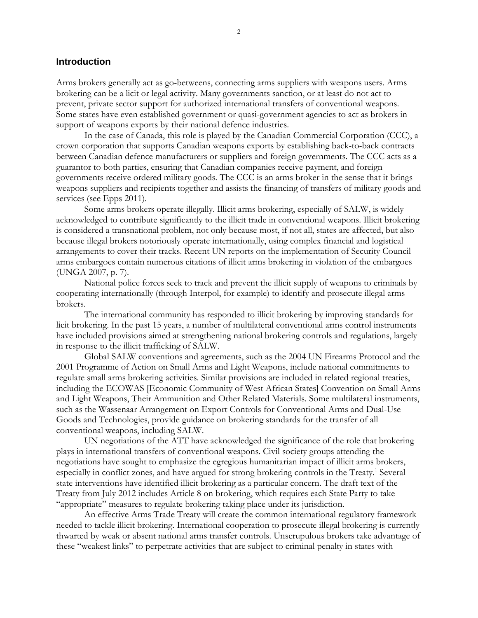#### **Introduction**

Arms brokers generally act as go-betweens, connecting arms suppliers with weapons users. Arms brokering can be a licit or legal activity. Many governments sanction, or at least do not act to prevent, private sector support for authorized international transfers of conventional weapons. Some states have even established government or quasi-government agencies to act as brokers in support of weapons exports by their national defence industries.

In the case of Canada, this role is played by the Canadian Commercial Corporation (CCC), a crown corporation that supports Canadian weapons exports by establishing back-to-back contracts between Canadian defence manufacturers or suppliers and foreign governments. The CCC acts as a guarantor to both parties, ensuring that Canadian companies receive payment, and foreign governments receive ordered military goods. The CCC is an arms broker in the sense that it brings weapons suppliers and recipients together and assists the financing of transfers of military goods and services (see Epps 2011).

Some arms brokers operate illegally. Illicit arms brokering, especially of SALW, is widely acknowledged to contribute significantly to the illicit trade in conventional weapons. Illicit brokering is considered a transnational problem, not only because most, if not all, states are affected, but also because illegal brokers notoriously operate internationally, using complex financial and logistical arrangements to cover their tracks. Recent UN reports on the implementation of Security Council arms embargoes contain numerous citations of illicit arms brokering in violation of the embargoes (UNGA 2007, p. 7).

National police forces seek to track and prevent the illicit supply of weapons to criminals by cooperating internationally (through Interpol, for example) to identify and prosecute illegal arms brokers.

The international community has responded to illicit brokering by improving standards for licit brokering. In the past 15 years, a number of multilateral conventional arms control instruments have included provisions aimed at strengthening national brokering controls and regulations, largely in response to the illicit trafficking of SALW.

Global SALW conventions and agreements, such as the 2004 UN Firearms Protocol and the 2001 Programme of Action on Small Arms and Light Weapons, include national commitments to regulate small arms brokering activities. Similar provisions are included in related regional treaties, including the ECOWAS [Economic Community of West African States] Convention on Small Arms and Light Weapons, Their Ammunition and Other Related Materials. Some multilateral instruments, such as the Wassenaar Arrangement on Export Controls for Conventional Arms and Dual-Use Goods and Technologies, provide guidance on brokering standards for the transfer of all conventional weapons, including SALW.

UN negotiations of the ATT have acknowledged the significance of the role that brokering plays in international transfers of conventional weapons. Civil society groups attending the negotiations have sought to emphasize the egregious humanitarian impact of illicit arms brokers, especially in conflict zones, and have argued for strong brokering controls in the Treaty.<sup>1</sup> Several state interventions have identified illicit brokering as a particular concern. The draft text of the Treaty from July 2012 includes Article 8 on brokering, which requires each State Party to take "appropriate" measures to regulate brokering taking place under its jurisdiction.

An effective Arms Trade Treaty will create the common international regulatory framework needed to tackle illicit brokering. International cooperation to prosecute illegal brokering is currently thwarted by weak or absent national arms transfer controls. Unscrupulous brokers take advantage of these "weakest links" to perpetrate activities that are subject to criminal penalty in states with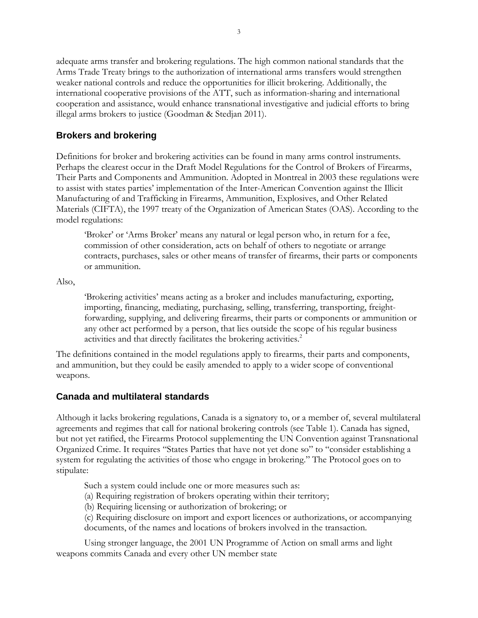adequate arms transfer and brokering regulations. The high common national standards that the Arms Trade Treaty brings to the authorization of international arms transfers would strengthen weaker national controls and reduce the opportunities for illicit brokering. Additionally, the international cooperative provisions of the ATT, such as information-sharing and international cooperation and assistance, would enhance transnational investigative and judicial efforts to bring illegal arms brokers to justice (Goodman & Stedjan 2011).

# **Brokers and brokering**

Definitions for broker and brokering activities can be found in many arms control instruments. Perhaps the clearest occur in the Draft Model Regulations for the Control of Brokers of Firearms, Their Parts and Components and Ammunition. Adopted in Montreal in 2003 these regulations were to assist with states parties' implementation of the Inter-American Convention against the Illicit Manufacturing of and Trafficking in Firearms, Ammunition, Explosives, and Other Related Materials (CIFTA), the 1997 treaty of the Organization of American States (OAS). According to the model regulations:

'Broker' or 'Arms Broker' means any natural or legal person who, in return for a fee, commission of other consideration, acts on behalf of others to negotiate or arrange contracts, purchases, sales or other means of transfer of firearms, their parts or components or ammunition.

Also,

'Brokering activities' means acting as a broker and includes manufacturing, exporting, importing, financing, mediating, purchasing, selling, transferring, transporting, freightforwarding, supplying, and delivering firearms, their parts or components or ammunition or any other act performed by a person, that lies outside the scope of his regular business activities and that directly facilitates the brokering activities.<sup>2</sup>

The definitions contained in the model regulations apply to firearms, their parts and components, and ammunition, but they could be easily amended to apply to a wider scope of conventional weapons.

## **Canada and multilateral standards**

Although it lacks brokering regulations, Canada is a signatory to, or a member of, several multilateral agreements and regimes that call for national brokering controls (see Table 1). Canada has signed, but not yet ratified, the Firearms Protocol supplementing the UN Convention against Transnational Organized Crime. It requires "States Parties that have not yet done so" to "consider establishing a system for regulating the activities of those who engage in brokering." The Protocol goes on to stipulate:

Such a system could include one or more measures such as:

(a) Requiring registration of brokers operating within their territory;

(b) Requiring licensing or authorization of brokering; or

(c) Requiring disclosure on import and export licences or authorizations, or accompanying documents, of the names and locations of brokers involved in the transaction.

Using stronger language, the 2001 UN Programme of Action on small arms and light weapons commits Canada and every other UN member state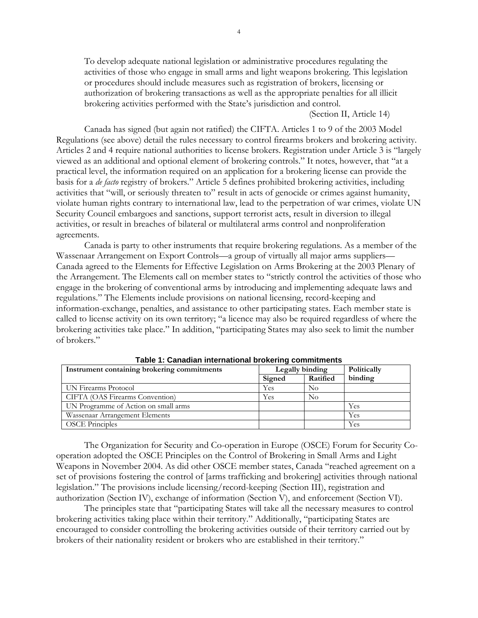To develop adequate national legislation or administrative procedures regulating the activities of those who engage in small arms and light weapons brokering. This legislation or procedures should include measures such as registration of brokers, licensing or authorization of brokering transactions as well as the appropriate penalties for all illicit brokering activities performed with the State's jurisdiction and control.

(Section II, Article 14)

Canada has signed (but again not ratified) the CIFTA. Articles 1 to 9 of the 2003 Model Regulations (see above) detail the rules necessary to control firearms brokers and brokering activity. Articles 2 and 4 require national authorities to license brokers. Registration under Article 3 is "largely viewed as an additional and optional element of brokering controls." It notes, however, that "at a practical level, the information required on an application for a brokering license can provide the basis for a *de facto* registry of brokers." Article 5 defines prohibited brokering activities, including activities that "will, or seriously threaten to" result in acts of genocide or crimes against humanity, violate human rights contrary to international law, lead to the perpetration of war crimes, violate UN Security Council embargoes and sanctions, support terrorist acts, result in diversion to illegal activities, or result in breaches of bilateral or multilateral arms control and nonproliferation agreements.

Canada is party to other instruments that require brokering regulations. As a member of the Wassenaar Arrangement on Export Controls—a group of virtually all major arms suppliers— Canada agreed to the Elements for Effective Legislation on Arms Brokering at the 2003 Plenary of the Arrangement. The Elements call on member states to "strictly control the activities of those who engage in the brokering of conventional arms by introducing and implementing adequate laws and regulations." The Elements include provisions on national licensing, record-keeping and information-exchange, penalties, and assistance to other participating states. Each member state is called to license activity on its own territory; "a licence may also be required regardless of where the brokering activities take place." In addition, "participating States may also seek to limit the number of brokers."

| Instrument containing brokering commitments | Legally binding |          | Politically |
|---------------------------------------------|-----------------|----------|-------------|
|                                             | Signed          | Ratified | binding     |
| UN Firearms Protocol                        | Yes             | No       |             |
| CIFTA (OAS Firearms Convention)             | Yes             | No       |             |
| UN Programme of Action on small arms        |                 |          | Yes         |
| Wassenaar Arrangement Elements              |                 |          | Yes         |
| <b>OSCE</b> Principles                      |                 |          | Yes         |

**Table 1: Canadian international brokering commitments**

The Organization for Security and Co-operation in Europe (OSCE) Forum for Security Cooperation adopted the OSCE Principles on the Control of Brokering in Small Arms and Light Weapons in November 2004. As did other OSCE member states, Canada "reached agreement on a set of provisions fostering the control of [arms trafficking and brokering] activities through national legislation." The provisions include licensing/record-keeping (Section III), registration and authorization (Section IV), exchange of information (Section V), and enforcement (Section VI).

The principles state that "participating States will take all the necessary measures to control brokering activities taking place within their territory." Additionally, "participating States are encouraged to consider controlling the brokering activities outside of their territory carried out by brokers of their nationality resident or brokers who are established in their territory."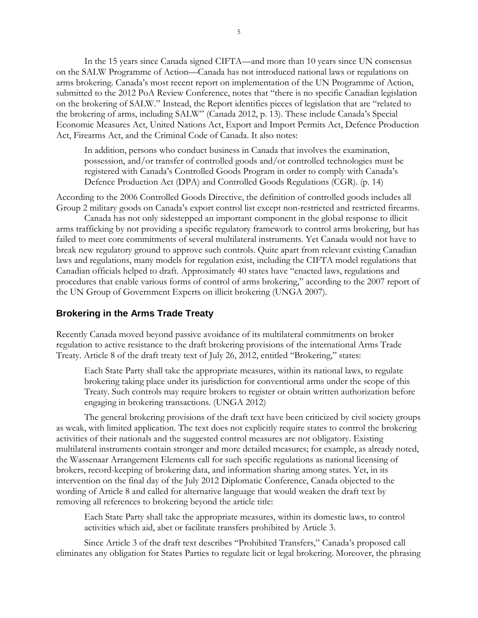In the 15 years since Canada signed CIFTA—and more than 10 years since UN consensus on the SALW Programme of Action—Canada has not introduced national laws or regulations on arms brokering. Canada's most recent report on implementation of the UN Programme of Action, submitted to the 2012 PoA Review Conference, notes that "there is no specific Canadian legislation on the brokering of SALW." Instead, the Report identifies pieces of legislation that are "related to the brokering of arms, including SALW" (Canada 2012, p. 13). These include Canada's Special Economic Measures Act, United Nations Act, Export and Import Permits Act, Defence Production Act, Firearms Act, and the Criminal Code of Canada. It also notes:

In addition, persons who conduct business in Canada that involves the examination, possession, and/or transfer of controlled goods and/or controlled technologies must be registered with Canada's Controlled Goods Program in order to comply with Canada's Defence Production Act (DPA) and Controlled Goods Regulations (CGR). (p. 14)

According to the 2006 Controlled Goods Directive, the definition of controlled goods includes all Group 2 military goods on Canada's export control list except non-restricted and restricted firearms.

Canada has not only sidestepped an important component in the global response to illicit arms trafficking by not providing a specific regulatory framework to control arms brokering, but has failed to meet core commitments of several multilateral instruments. Yet Canada would not have to break new regulatory ground to approve such controls. Quite apart from relevant existing Canadian laws and regulations, many models for regulation exist, including the CIFTA model regulations that Canadian officials helped to draft. Approximately 40 states have "enacted laws, regulations and procedures that enable various forms of control of arms brokering," according to the 2007 report of the UN Group of Government Experts on illicit brokering (UNGA 2007).

#### **Brokering in the Arms Trade Treaty**

Recently Canada moved beyond passive avoidance of its multilateral commitments on broker regulation to active resistance to the draft brokering provisions of the international Arms Trade Treaty. Article 8 of the draft treaty text of July 26, 2012, entitled "Brokering," states:

Each State Party shall take the appropriate measures, within its national laws, to regulate brokering taking place under its jurisdiction for conventional arms under the scope of this Treaty. Such controls may require brokers to register or obtain written authorization before engaging in brokering transactions. (UNGA 2012)

The general brokering provisions of the draft text have been criticized by civil society groups as weak, with limited application. The text does not explicitly require states to control the brokering activities of their nationals and the suggested control measures are not obligatory. Existing multilateral instruments contain stronger and more detailed measures; for example, as already noted, the Wassenaar Arrangement Elements call for such specific regulations as national licensing of brokers, record-keeping of brokering data, and information sharing among states. Yet, in its intervention on the final day of the July 2012 Diplomatic Conference, Canada objected to the wording of Article 8 and called for alternative language that would weaken the draft text by removing all references to brokering beyond the article title:

Each State Party shall take the appropriate measures, within its domestic laws, to control activities which aid, abet or facilitate transfers prohibited by Article 3.

Since Article 3 of the draft text describes "Prohibited Transfers," Canada's proposed call eliminates any obligation for States Parties to regulate licit or legal brokering. Moreover, the phrasing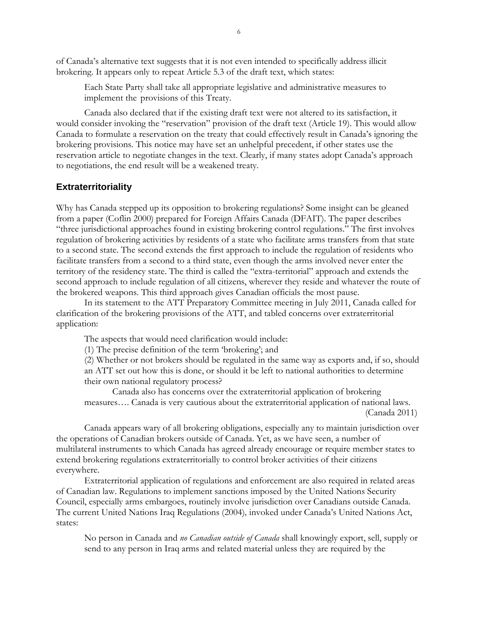of Canada's alternative text suggests that it is not even intended to specifically address illicit brokering. It appears only to repeat Article 5.3 of the draft text, which states:

Each State Party shall take all appropriate legislative and administrative measures to implement the provisions of this Treaty.

Canada also declared that if the existing draft text were not altered to its satisfaction, it would consider invoking the "reservation" provision of the draft text (Article 19). This would allow Canada to formulate a reservation on the treaty that could effectively result in Canada's ignoring the brokering provisions. This notice may have set an unhelpful precedent, if other states use the reservation article to negotiate changes in the text. Clearly, if many states adopt Canada's approach to negotiations, the end result will be a weakened treaty.

#### **Extraterritoriality**

Why has Canada stepped up its opposition to brokering regulations? Some insight can be gleaned from a paper (Coflin 2000) prepared for Foreign Affairs Canada (DFAIT). The paper describes "three jurisdictional approaches found in existing brokering control regulations." The first involves regulation of brokering activities by residents of a state who facilitate arms transfers from that state to a second state. The second extends the first approach to include the regulation of residents who facilitate transfers from a second to a third state, even though the arms involved never enter the territory of the residency state. The third is called the "extra-territorial" approach and extends the second approach to include regulation of all citizens, wherever they reside and whatever the route of the brokered weapons. This third approach gives Canadian officials the most pause.

In its statement to the ATT Preparatory Committee meeting in July 2011, Canada called for clarification of the brokering provisions of the ATT, and tabled concerns over extraterritorial application:

The aspects that would need clarification would include:

(1) The precise definition of the term 'brokering'; and

(2) Whether or not brokers should be regulated in the same way as exports and, if so, should an ATT set out how this is done, or should it be left to national authorities to determine their own national regulatory process?

Canada also has concerns over the extraterritorial application of brokering measures…. Canada is very cautious about the extraterritorial application of national laws. (Canada 2011)

Canada appears wary of all brokering obligations, especially any to maintain jurisdiction over the operations of Canadian brokers outside of Canada. Yet, as we have seen, a number of multilateral instruments to which Canada has agreed already encourage or require member states to extend brokering regulations extraterritorially to control broker activities of their citizens everywhere.

Extraterritorial application of regulations and enforcement are also required in related areas of Canadian law. Regulations to implement sanctions imposed by the United Nations Security Council, especially arms embargoes, routinely involve jurisdiction over Canadians outside Canada. The current United Nations Iraq Regulations (2004)*,* invoked under Canada's United Nations Act, states:

No person in Canada and *no Canadian outside of Canada* shall knowingly export, sell, supply or send to any person in Iraq arms and related material unless they are required by the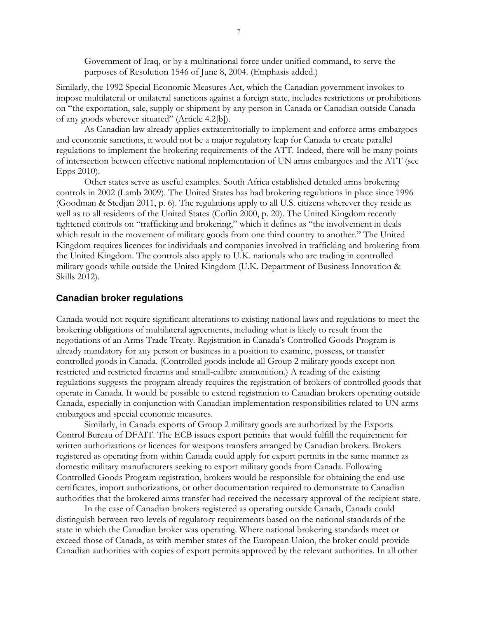Government of Iraq, or by a multinational force under unified command, to serve the purposes of Resolution 1546 of June 8, 2004. (Emphasis added.)

Similarly, the 1992 Special Economic Measures Act, which the Canadian government invokes to impose multilateral or unilateral sanctions against a foreign state, includes restrictions or prohibitions on "the exportation, sale, supply or shipment by any person in Canada or Canadian outside Canada of any goods wherever situated" (Article 4.2[b]).

As Canadian law already applies extraterritorially to implement and enforce arms embargoes and economic sanctions, it would not be a major regulatory leap for Canada to create parallel regulations to implement the brokering requirements of the ATT. Indeed, there will be many points of intersection between effective national implementation of UN arms embargoes and the ATT (see Epps 2010).

Other states serve as useful examples. South Africa established detailed arms brokering controls in 2002 (Lamb 2009). The United States has had brokering regulations in place since 1996 (Goodman & Stedjan 2011, p. 6). The regulations apply to all U.S. citizens wherever they reside as well as to all residents of the United States (Coflin 2000, p. 20). The United Kingdom recently tightened controls on "trafficking and brokering," which it defines as "the involvement in deals which result in the movement of military goods from one third country to another." The United Kingdom requires licences for individuals and companies involved in trafficking and brokering from the United Kingdom. The controls also apply to U.K. nationals who are trading in controlled military goods while outside the United Kingdom (U.K. Department of Business Innovation & Skills 2012).

## **Canadian broker regulations**

Canada would not require significant alterations to existing national laws and regulations to meet the brokering obligations of multilateral agreements, including what is likely to result from the negotiations of an Arms Trade Treaty. Registration in Canada's Controlled Goods Program is already mandatory for any person or business in a position to examine, possess, or transfer controlled goods in Canada. (Controlled goods include all Group 2 military goods except nonrestricted and restricted firearms and small-calibre ammunition.) A reading of the existing regulations suggests the program already requires the registration of brokers of controlled goods that operate in Canada. It would be possible to extend registration to Canadian brokers operating outside Canada, especially in conjunction with Canadian implementation responsibilities related to UN arms embargoes and special economic measures.

Similarly, in Canada exports of Group 2 military goods are authorized by the Exports Control Bureau of DFAIT. The ECB issues export permits that would fulfill the requirement for written authorizations or licences for weapons transfers arranged by Canadian brokers. Brokers registered as operating from within Canada could apply for export permits in the same manner as domestic military manufacturers seeking to export military goods from Canada. Following Controlled Goods Program registration, brokers would be responsible for obtaining the end-use certificates, import authorizations, or other documentation required to demonstrate to Canadian authorities that the brokered arms transfer had received the necessary approval of the recipient state.

In the case of Canadian brokers registered as operating outside Canada, Canada could distinguish between two levels of regulatory requirements based on the national standards of the state in which the Canadian broker was operating. Where national brokering standards meet or exceed those of Canada, as with member states of the European Union, the broker could provide Canadian authorities with copies of export permits approved by the relevant authorities. In all other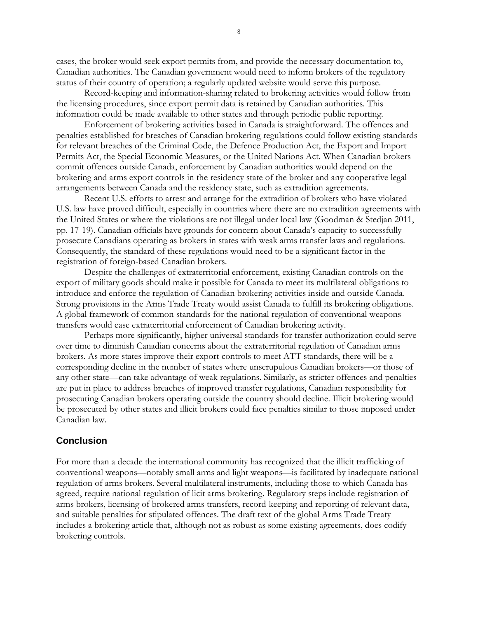cases, the broker would seek export permits from, and provide the necessary documentation to, Canadian authorities. The Canadian government would need to inform brokers of the regulatory status of their country of operation; a regularly updated website would serve this purpose.

Record-keeping and information-sharing related to brokering activities would follow from the licensing procedures, since export permit data is retained by Canadian authorities. This information could be made available to other states and through periodic public reporting.

Enforcement of brokering activities based in Canada is straightforward. The offences and penalties established for breaches of Canadian brokering regulations could follow existing standards for relevant breaches of the Criminal Code, the Defence Production Act, the Export and Import Permits Act, the Special Economic Measures, or the United Nations Act. When Canadian brokers commit offences outside Canada, enforcement by Canadian authorities would depend on the brokering and arms export controls in the residency state of the broker and any cooperative legal arrangements between Canada and the residency state, such as extradition agreements.

Recent U.S. efforts to arrest and arrange for the extradition of brokers who have violated U.S. law have proved difficult, especially in countries where there are no extradition agreements with the United States or where the violations are not illegal under local law (Goodman & Stedjan 2011, pp. 17-19). Canadian officials have grounds for concern about Canada's capacity to successfully prosecute Canadians operating as brokers in states with weak arms transfer laws and regulations. Consequently, the standard of these regulations would need to be a significant factor in the registration of foreign-based Canadian brokers.

Despite the challenges of extraterritorial enforcement, existing Canadian controls on the export of military goods should make it possible for Canada to meet its multilateral obligations to introduce and enforce the regulation of Canadian brokering activities inside and outside Canada. Strong provisions in the Arms Trade Treaty would assist Canada to fulfill its brokering obligations. A global framework of common standards for the national regulation of conventional weapons transfers would ease extraterritorial enforcement of Canadian brokering activity.

Perhaps more significantly, higher universal standards for transfer authorization could serve over time to diminish Canadian concerns about the extraterritorial regulation of Canadian arms brokers. As more states improve their export controls to meet ATT standards, there will be a corresponding decline in the number of states where unscrupulous Canadian brokers—or those of any other state—can take advantage of weak regulations. Similarly, as stricter offences and penalties are put in place to address breaches of improved transfer regulations, Canadian responsibility for prosecuting Canadian brokers operating outside the country should decline. Illicit brokering would be prosecuted by other states and illicit brokers could face penalties similar to those imposed under Canadian law.

#### **Conclusion**

For more than a decade the international community has recognized that the illicit trafficking of conventional weapons—notably small arms and light weapons—is facilitated by inadequate national regulation of arms brokers. Several multilateral instruments, including those to which Canada has agreed, require national regulation of licit arms brokering. Regulatory steps include registration of arms brokers, licensing of brokered arms transfers, record-keeping and reporting of relevant data, and suitable penalties for stipulated offences. The draft text of the global Arms Trade Treaty includes a brokering article that, although not as robust as some existing agreements, does codify brokering controls.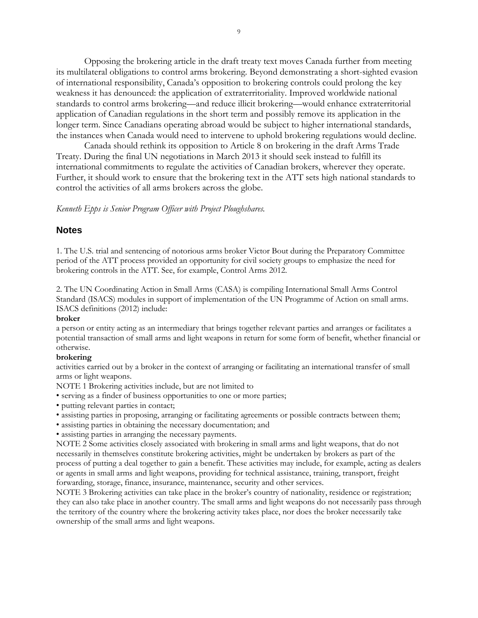Opposing the brokering article in the draft treaty text moves Canada further from meeting its multilateral obligations to control arms brokering. Beyond demonstrating a short-sighted evasion of international responsibility, Canada's opposition to brokering controls could prolong the key weakness it has denounced: the application of extraterritoriality. Improved worldwide national standards to control arms brokering—and reduce illicit brokering—would enhance extraterritorial application of Canadian regulations in the short term and possibly remove its application in the longer term. Since Canadians operating abroad would be subject to higher international standards, the instances when Canada would need to intervene to uphold brokering regulations would decline.

Canada should rethink its opposition to Article 8 on brokering in the draft Arms Trade Treaty. During the final UN negotiations in March 2013 it should seek instead to fulfill its international commitments to regulate the activities of Canadian brokers, wherever they operate. Further, it should work to ensure that the brokering text in the ATT sets high national standards to control the activities of all arms brokers across the globe.

*Kenneth Epps is Senior Program Officer with Project Ploughshares.*

#### **Notes**

1. The U.S. trial and sentencing of notorious arms broker Victor Bout during the Preparatory Committee period of the ATT process provided an opportunity for civil society groups to emphasize the need for brokering controls in the ATT. See, for example, Control Arms 2012.

2. The UN Coordinating Action in Small Arms (CASA) is compiling International Small Arms Control Standard (ISACS) modules in support of implementation of the UN Programme of Action on small arms. ISACS definitions (2012) include:

#### **broker**

a person or entity acting as an intermediary that brings together relevant parties and arranges or facilitates a potential transaction of small arms and light weapons in return for some form of benefit, whether financial or otherwise.

#### **brokering**

activities carried out by a broker in the context of arranging or facilitating an international transfer of small arms or light weapons.

NOTE 1 Brokering activities include, but are not limited to

• serving as a finder of business opportunities to one or more parties;

• putting relevant parties in contact;

- assisting parties in proposing, arranging or facilitating agreements or possible contracts between them;
- assisting parties in obtaining the necessary documentation; and
- assisting parties in arranging the necessary payments.

NOTE 2 Some activities closely associated with brokering in small arms and light weapons, that do not necessarily in themselves constitute brokering activities, might be undertaken by brokers as part of the process of putting a deal together to gain a benefit. These activities may include, for example, acting as dealers or agents in small arms and light weapons, providing for technical assistance, training, transport, freight forwarding, storage, finance, insurance, maintenance, security and other services.

NOTE 3 Brokering activities can take place in the broker's country of nationality, residence or registration; they can also take place in another country. The small arms and light weapons do not necessarily pass through the territory of the country where the brokering activity takes place, nor does the broker necessarily take ownership of the small arms and light weapons.